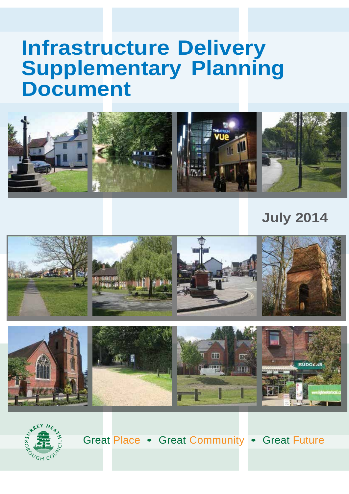# **Infrastructure Delivery Supplementary Planning Document**



## **July 2014**





Great Place • Great Community • Great Future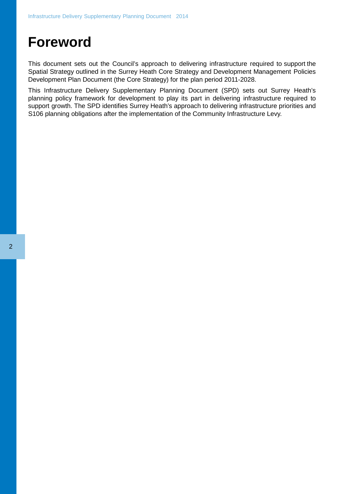## **Foreword**

This document sets out the Council's approach to delivering infrastructure required to support the Spatial Strategy outlined in the Surrey Heath Core Strategy and Development Management Policies Development Plan Document (the Core Strategy) for the plan period 2011-2028.

This Infrastructure Delivery Supplementary Planning Document (SPD) sets out Surrey Heath's planning policy framework for development to play its part in delivering infrastructure required to support growth. The SPD identifies Surrey Heath's approach to delivering infrastructure priorities and S106 planning obligations after the implementation of the Community Infrastructure Levy.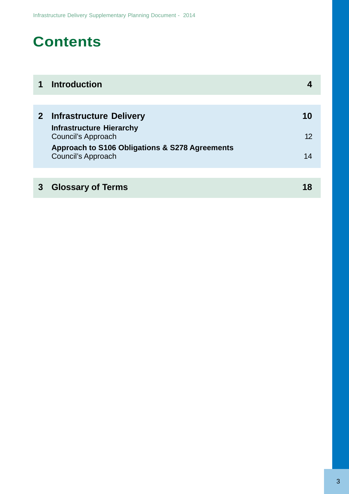## **Contents**

|                | <b>Introduction</b>                                                  |    |
|----------------|----------------------------------------------------------------------|----|
|                |                                                                      |    |
| 2 <sup>1</sup> | <b>Infrastructure Delivery</b>                                       | 10 |
|                | <b>Infrastructure Hierarchy</b><br>Council's Approach                | 12 |
|                | Approach to S106 Obligations & S278 Agreements<br>Council's Approach | 14 |
|                |                                                                      |    |
|                | <b>Glossary of Terms</b>                                             |    |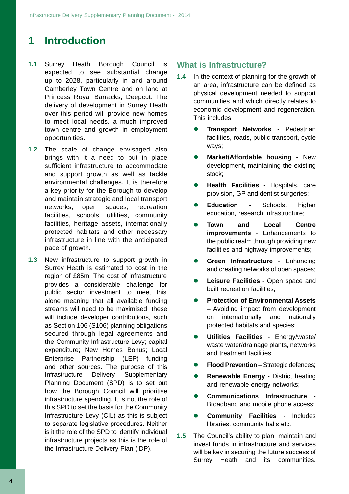## **1 Introduction**

- **1.1** Surrey Heath Borough Council is expected to see substantial change up to 2028, particularly in and around Camberley Town Centre and on land at Princess Royal Barracks, Deepcut. The delivery of development in Surrey Heath over this period will provide new homes to meet local needs, a much improved town centre and growth in employment opportunities.
- **1.2** The scale of change envisaged also brings with it a need to put in place sufficient infrastructure to accommodate and support growth as well as tackle environmental challenges. It is therefore a key priority for the Borough to develop and maintain strategic and local transport networks, open spaces, recreation facilities, schools, utilities, community facilities, heritage assets, internationally protected habitats and other necessary infrastructure in line with the anticipated pace of growth.
- alone meaning that all available funding streams will need to be maximised; these will include developer contributions, such as Section 106 (S106) planning obligations secured through legal agreements and the Community Infrastructure Levy; capital expenditure; New Homes Bonus; Local Enterprise Partnership (LEP) funding and other sources. The purpose of this Infrastructure Delivery Supplementary Planning Document (SPD) is to set out how the Borough Council will prioritise infrastructure spending. It is not the role of this SPD to set the basis for the Community Infrastructure Levy (CIL) as this is subject to separate legislative procedures. Neither is it the role of the SPD to identify individual infrastructure projects as this is the role of the Infrastructure Delivery Plan (IDP). **1.3** New infrastructure to support growth in Surrey Heath is estimated to cost in the region of £85m. The cost of infrastructure provides a considerable challenge for public sector investment to meet this

#### **What is Infrastructure?**

- **1.4** In the context of planning for the growth of an area, infrastructure can be defined as physical development needed to support communities and which directly relates to economic development and regeneration. This includes:
	- **Transport Networks** Pedestrian facilities, roads, public transport, cycle ways;
	- **Market/Affordable housing** New development, maintaining the existing stock;
	- **Health Facilities** Hospitals, care provision, GP and dentist surgeries;
	- **Education** Schools, higher education, research infrastructure;
	- **Town and Local Centre improvements** - Enhancements to the public realm through providing new facilities and highway improvements;
	- **Green Infrastructure** Enhancing and creating networks of open spaces;
	- **Leisure Facilities** Open space and built recreation facilities:
	- **Protection of Environmental Assets**  – Avoiding impact from development on internationally and nationally protected habitats and species;
	- **Utilities Facilities** Energy/waste/ waste water/drainage plants, networks and treatment facilities;
	- **Flood Prevention** Strategic defences;
	- **Renewable Energy** District heating and renewable energy networks;
	- **Communications Infrastructure** Broadband and mobile phone access;
	- **Community Facilities** Includes libraries, community halls etc.
- **1.5** The Council's ability to plan, maintain and invest funds in infrastructure and services will be key in securing the future success of Surrey Heath and its communities.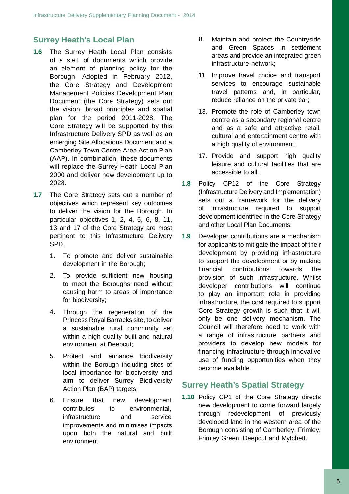## **Surrey Heath's Local Plan**

- **1.6** The Surrey Heath Local Plan consists of a set of documents which provide an element of planning policy for the Borough. Adopted in February 2012, the Core Strategy and Development Management Policies Development Plan Document (the Core Strategy) sets out the vision, broad principles and spatial plan for the period 2011-2028. The Core Strategy will be supported by this Infrastructure Delivery SPD as well as an emerging Site Allocations Document and a Camberley Town Centre Area Action Plan (AAP). In combination, these documents will replace the Surrey Heath Local Plan 2000 and deliver new development up to 2028.
- **1.7** The Core Strategy sets out a number of objectives which represent key outcomes to deliver the vision for the Borough. In particular objectives 1, 2, 4, 5, 6, 8, 11, 13 and 17 of the Core Strategy are most pertinent to this Infrastructure Delivery SPD.
	- 1. To promote and deliver sustainable development in the Borough;
	- 2. To provide sufficient new housing to meet the Boroughs need without causing harm to areas of importance for biodiversity;
	- 4. Through the regeneration of the Princess Royal Barracks site, to deliver a sustainable rural community set within a high quality built and natural environment at Deepcut;
	- 5. Protect and enhance biodiversity within the Borough including sites of local importance for biodiversity and aim to deliver Surrey Biodiversity Action Plan (BAP) targets;
	- 6. contributes to infrastructure development environmental, and service improvements and minimises impacts upon both the natural and built environment; Ensure that new
- Maintain and protect the Countryside and Green Spaces in settlement areas and provide an integrated green infrastructure network; 8.
- 11. Improve travel choice and transport services to encourage sustainable travel patterns and, in particular, reduce reliance on the private car;
- 13. Promote the role of Camberley town centre as a secondary regional centre and as a safe and attractive retail, cultural and entertainment centre with a high quality of environment;
- 17. Provide and support high quality leisure and cultural facilities that are accessible to all.
- **1.8** Policy CP12 of the Core Strategy (Infrastructure Delivery and Implementation) sets out a framework for the delivery of infrastructure required to support development identified in the Core Strategy and other Local Plan Documents.
- **1.9** Developer contributions are a mechanism for applicants to mitigate the impact of their development by providing infrastructure to support the development or by making financial contributions towards the provision of such infrastructure. Whilst developer contributions will continue to play an important role in providing infrastructure, the cost required to support Core Strategy growth is such that it will only be one delivery mechanism. The Council will therefore need to work with a range of infrastructure partners and providers to develop new models for financing infrastructure through innovative use of funding opportunities when they become available.

### **Surrey Heath's Spatial Strategy**

**1.10** Policy CP1 of the Core Strategy directs new development to come forward largely through redevelopment of previously developed land in the western area of the Borough consisting of Camberley, Frimley, Frimley Green, Deepcut and Mytchett.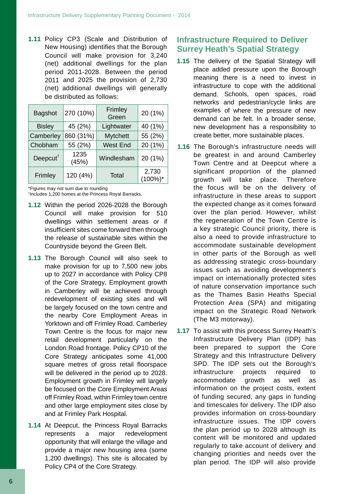Council will make provision for 3,240 (net) additional dwellings for the plan 2011-2028. Between the period period 2011 and 2025 the provision of 2,730 **1.11** Policy CP3 (Scale and Distribution of New Housing) identifies that the Borough (net) additional dwellings will generally be distributed as follows:

| <b>Bagshot</b>                          | 270 (10%)     | Frimley<br>Green | 20 (1%)              |
|-----------------------------------------|---------------|------------------|----------------------|
| <b>Bisley</b>                           | 45 (2%)       | Lightwater       | 40 (1%)              |
| Camberley                               | 860 (31%)     | <b>Mytchett</b>  | 55 (2%)              |
| Chobham                                 | 55 (2%)       | <b>West End</b>  | 20 (1%)              |
| Deepcut <sup><math>\dagger</math></sup> | 1235<br>(45%) | Windlesham       | 20 (1%)              |
| Frimley                                 | 120 (4%)      | Total            | 2,730<br>$(100\%)^*$ |

\*Figures may not sum due to rounding

† Includes 1,200 homes at the Princess Royal Barracks.

- **1.12** Within the period 2026-2028 the Borough Council will make provision for 510 dwellings within settlement areas or if insufficient sites come forward then through the release of sustainable sites within the Countryside beyond the Green Belt.
- will be delivered in the period up to 2028. Employment growth in Frimley will largely be focused on the Core Employment Areas off Frimley Road, within Frimley town centre and other large employment sites close by and at Frimley Park Hospital. of the Core Strategy. Employment growth in Camberley will be achieved through redevelopment of existing sites and will be largely focused on the town centre and the nearby Core Employment Areas in Yorktown and off Frimley Road. Camberley Town Centre is the focus for major new retail development particularly on the London Road frontage. Policy CP10 of the **1.13** The Borough Council will also seek to make provision for up to 7,500 new jobs up to 2027 in accordance with Policy CP8 Core Strategy anticipates some 41,000 square metres of gross retail floorspace
- **1.14** At Deepcut, the Princess Royal Barracks represents a major redevelopment opportunity that will enlarge the village and provide a major new housing area (some 1,200 dwellings). This site is allocated by Policy CP4 of the Core Strategy.

## **Infrastructure Required to Deliver Surrey Heath's Spatial Strategy**

- **1.15** The delivery of the Spatial Strategy will place added pressure upon the Borough meaning there is a need to invest in infrastructure to cope with the additional demand. Schools, open spaces, road networks and pedestrian/cycle links are examples of where the pressure of new demand can be felt. In a broader sense, new development has a responsibility to create better, more sustainable places.
- 1.16 The Borough's infrastructure needs will be greatest in and around Camberley Town Centre and at Deepcut where a significant proportion of the planned growth will take place. Therefore the focus will be on the delivery of infrastructure in these areas to support the expected change as it comes forward over the plan period. However, whilst the regeneration of the Town Centre is a key strategic Council priority, there is also a need to provide infrastructure to accommodate sustainable development in other parts of the Borough as well as addressing strategic cross-boundary issues such as avoiding development's impact on internationally protected sites of nature conservation importance such as the Thames Basin Heaths Special Protection Area (SPA) and mitigating impact on the Strategic Road Network (The M3 motorway).
- **1.17** To assist with this process Surrey Heath's Infrastructure Delivery Plan (IDP) has been prepared to support the Core Strategy and this Infrastructure Delivery SPD. The IDP sets out the Borough's infrastructure accommodate information on the project costs, extent projects required to growth as well as of funding secured, any gaps in funding and timescales for delivery. The IDP also provides information on cross-boundary infrastructure issues. The IDP covers the plan period up to 2028 although its content will be monitored and updated regularly to take account of delivery and changing priorities and needs over the plan period. The IDP will also provide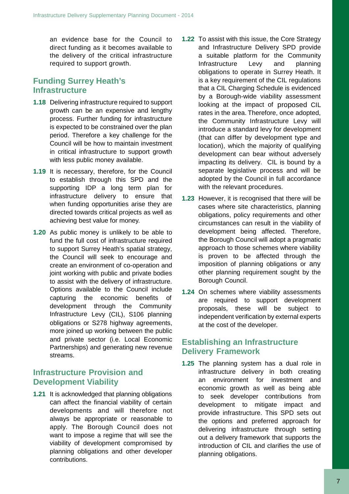an evidence base for the Council to direct funding as it becomes available to the delivery of the critical infrastructure required to support growth.

### **Funding Surrey Heath's Infrastructure**

- **1.18** Delivering infrastructure required to support growth can be an expensive and lengthy process. Further funding for infrastructure is expected to be constrained over the plan period. Therefore a key challenge for the Council will be how to maintain investment in critical infrastructure to support growth with less public money available.
- **1.19** It is necessary, therefore, for the Council to establish through this SPD and the supporting IDP a long term plan for infrastructure delivery to ensure that when funding opportunities arise they are directed towards critical projects as well as achieving best value for money.
- **1.20** As public money is unlikely to be able to fund the full cost of infrastructure required to support Surrey Heath's spatial strategy, the Council will seek to encourage and create an environment of co-operation and joint working with public and private bodies to assist with the delivery of infrastructure. Options available to the Council include capturing the economic benefits of development through the Community Infrastructure Levy (CIL), S106 planning obligations or S278 highway agreements, more joined up working between the public and private sector (i.e. Local Economic Partnerships) and generating new revenue streams.

## **Infrastructure Provision and Development Viability**

**1.21** It is acknowledged that planning obligations can affect the financial viability of certain developments and will therefore not always be appropriate or reasonable to apply. The Borough Council does not want to impose a regime that will see the viability of development compromised by planning obligations and other developer contributions.

- **1.22** To assist with this issue, the Core Strategy and Infrastructure Delivery SPD provide a suitable platform for the Community Infrastructure Levy and planning obligations to operate in Surrey Heath. It is a key requirement of the CIL regulations that a CIL Charging Schedule is evidenced by a Borough-wide viability assessment looking at the impact of proposed CIL rates in the area. Therefore, once adopted, the Community Infrastructure Levy will introduce a standard levy for development (that can differ by development type and location), which the majority of qualifying development can bear without adversely impacting its delivery. CIL is bound by a separate legislative process and will be adopted by the Council in full accordance with the relevant procedures.
- **1.23** However, it is recognised that there will be cases where site characteristics, planning obligations, policy requirements and other circumstances can result in the viability of development being affected. Therefore, the Borough Council will adopt a pragmatic approach to those schemes where viability is proven to be affected through the imposition of planning obligations or any other planning requirement sought by the Borough Council.
- **1.24** On schemes where viability assessments are required to support development proposals, these will be subject to independent verification by external experts at the cost of the developer.

## **Establishing an Infrastructure Delivery Framework**

**1.25** The planning system has a dual role in infrastructure delivery in both creating an environment for investment and economic growth as well as being able to seek developer contributions from development to mitigate impact and provide infrastructure. This SPD sets out the options and preferred approach for delivering infrastructure through setting out a delivery framework that supports the introduction of CIL and clarifies the use of planning obligations.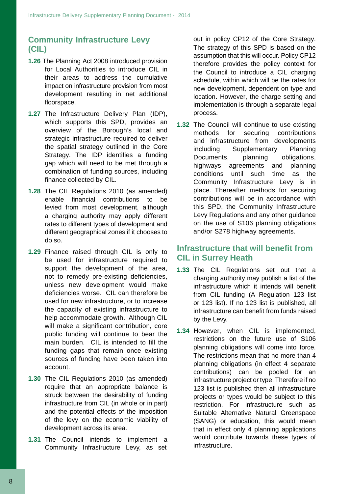## **Community Infrastructure Levy (CIL)**

- **1.26** The Planning Act 2008 introduced provision for Local Authorities to introduce CIL in their areas to address the cumulative impact on infrastructure provision from most development resulting in net additional floorspace.
- **1.27** The Infrastructure Delivery Plan (IDP), which supports this SPD, provides an overview of the Borough's local and strategic infrastructure required to deliver the spatial strategy outlined in the Core Strategy. The IDP identifies a funding gap which will need to be met through a combination of funding sources, including finance collected by CIL.
- **1.28** The CIL Regulations 2010 (as amended) enable financial contributions to be levied from most development, although a charging authority may apply different rates to different types of development and different geographical zones if it chooses to do so.
- **1.29** Finance raised through CIL is only to be used for infrastructure required to support the development of the area, not to remedy pre-existing deficiencies, unless new development would make deficiencies worse. CIL can therefore be used for new infrastructure, or to increase the capacity of existing infrastructure to help accommodate growth. Although CIL will make a significant contribution, core public funding will continue to bear the main burden. CIL is intended to fill the funding gaps that remain once existing sources of funding have been taken into account.
- **1.30** The CIL Regulations 2010 (as amended) require that an appropriate balance is struck between the desirability of funding infrastructure from CIL (in whole or in part) and the potential effects of the imposition of the levy on the economic viability of development across its area.
- **1.31** The Council intends to implement a Community Infrastructure Levy, as set

out in policy CP12 of the Core Strategy. The strategy of this SPD is based on the assumption that this will occur. Policy CP12 therefore provides the policy context for the Council to introduce a CIL charging schedule, within which will be the rates for new development, dependent on type and location. However, the charge setting and implementation is through a separate legal process.

**1.32** The Council will continue to use existing methods for securing contributions and infrastructure from developments including Supplementary Planning Documents, planning obligations, highways agreements and planning conditions until such time as the Community Infrastructure Levy is in place. Thereafter methods for securing contributions will be in accordance with this SPD, the Community Infrastructure Levy Regulations and any other guidance on the use of S106 planning obligations and/or S278 highway agreements.

## **Infrastructure that will benefit from CIL in Surrey Heath**

- **1.33** The CIL Regulations set out that a charging authority may publish a list of the infrastructure which it intends will benefit from CIL funding (A Regulation 123 list or 123 list). If no 123 list is published, all infrastructure can benefit from funds raised by the Levy.
- **1.34** However, when CIL is implemented, restrictions on the future use of S106 planning obligations will come into force. The restrictions mean that no more than 4 planning obligations (in effect 4 separate contributions) can be pooled for an infrastructure project or type. Therefore if no 123 list is published then all infrastructure projects or types would be subject to this restriction. For infrastructure such as Suitable Alternative Natural Greenspace (SANG) or education, this would mean that in effect only 4 planning applications would contribute towards these types of infrastructure.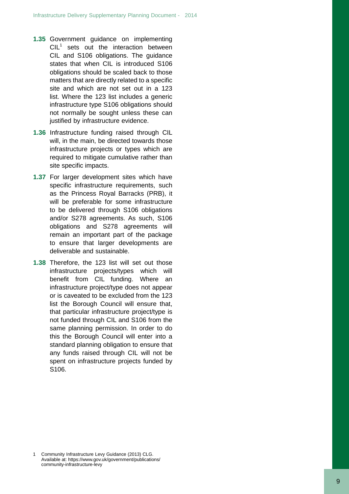- **1.3 5** Government guidance on implementing  $CIL<sup>1</sup>$  sets out the interaction between CIL and S106 obligations. The guidance states that when CIL is introduced S106 obligations should be scaled back to those matters that are directly related to a specific site and which are not set out in a 123 lis t . Where the 123 list includes a generic infrastructure type S106 obligations should not normally be sought unless these can justified by infrastructure evidence.
- **1.36** Infrastructure funding raised through CIL will, in the main, be directed towards those infrastructure projects or types which are required to mitigate cumulative rather than site specific impacts.
- **1.37** For larger development sites which have specific infrastructure requirements, such as the Princess Royal Barracks (PRB), it will be preferable for some infrastructure to be delivered through S106 obligations and/or S278 agreements. As such, S106 obligation s an d S27 8 agreement s will remain an important part of the package to ensure that larger developments are deliverable and sustainable.
- **1.38** Therefore, the 123 list will set out those infrastructur e projects/types whic h will benefi t fro m CI L fundin g . Wher e an infrastructure project/type does not appear or is caveated to be excluded from the 123 list the Borough Council will ensure that, that particular infrastructure project/type is not funded through CIL and S106 from the same planning permission. In order to do this the Borough Council will enter into a standard planning obligation to ensure that any funds raised through CIL will not be spent on infrastructure projects funded by S106.

Community Infrastructure Levy Guidance (2013) CLG. Available at: https://www.gov.uk/government/publications/ community -infrastructure -levy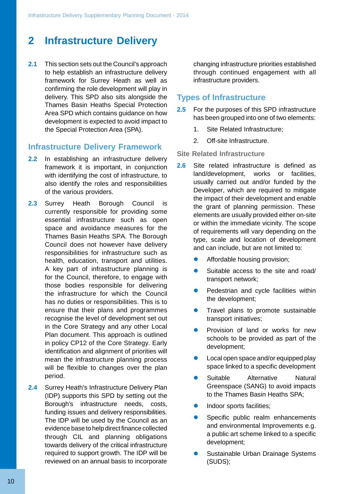## **2 Infrastructure Delivery**

**2.1** This section sets out the Council's approach to help establish an infrastructure delivery framework for Surrey Heath as well as confirming the role development will play in delivery. This SPD also sits alongside the Thames Basin Heaths Special Protection Area SPD which contains guidance on how development is expected to avoid impact to the Special Protection Area (SPA).

#### **Infrastructure Delivery Framework**

- **2.2** In establishing an infrastructure delivery framework it is important, in conjunction with identifying the cost of infrastructure, to also identify the roles and responsibilities of the various providers.
- **2.3** Surrey Heath Borough Council is currently responsible for providing some essential infrastructure such as open space and avoidance measures for the Thames Basin Heaths SPA. The Borough Council does not however have delivery responsibilities for infrastructure such as health, education, transport and utilities. A key part of infrastructure planning is for the Council, therefore, to engage with those bodies responsible for delivering the infrastructure for which the Council has no duties or responsibilities. This is to ensure that their plans and programmes recognise the level of development set out in the Core Strategy and any other Local Plan document. This approach is outlined in policy CP12 of the Core Strategy. Early identification and alignment of priorities will mean the infrastructure planning process will be flexible to changes over the plan period.
- **2.4** Surrey Heath's Infrastructure Delivery Plan (IDP) supports this SPD by setting out the Borough's infrastructure needs, costs, funding issues and delivery responsibilities. The IDP will be used by the Council as an evidence base to help direct finance collected through CIL and planning obligations towards delivery of the critical infrastructure required to support growth. The IDP will be reviewed on an annual basis to incorporate

changing infrastructure priorities established through continued engagement with all infrastructure providers.

### **Types of Infrastructure**

- **2.5** For the purposes of this SPD infrastructure has been grouped into one of two elements:
	- 1. Site Related Infrastructure;
	- 2. Off-site Infrastructure.

#### **Site Related Infrastructure**

- the grant of planning permission. These **2.6** Site related infrastructure is defined as land/development, works or facilities, usually carried out and/or funded by the Developer, which are required to mitigate the impact of their development and enable elements are usually provided either on-site or within the immediate vicinity. The scope of requirements will vary depending on the type, scale and location of development and can include, but are not limited to:
	- Affordable housing provision;
	- Suitable access to the site and road/ transport network;
	- **•** Pedestrian and cycle facilities within the development;
	- Travel plans to promote sustainable transport initiatives;
	- Provision of land or works for new schools to be provided as part of the development;
	- Local open space and/or equipped play space linked to a specific development
	- Suitable Alternative Natural Greenspace (SANG) to avoid impacts to the Thames Basin Heaths SPA;
	- Indoor sports facilities;
	- Specific public realm enhancements and environmental Improvements e.g. a public art scheme linked to a specific development;
	- Sustainable Urban Drainage Systems (SUDS);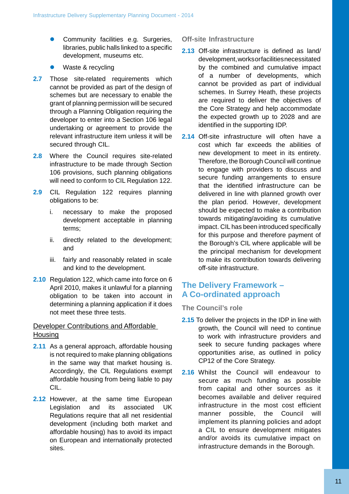- Community facilities e.g. Surgeries, libraries, public halls linked to a specific development, museums etc.
- Waste & recycling
- 2.7 Those site-related requirements which cannot be provided as part of the design of schemes but are necessary to enable the grant of planning permission will be secured through a Planning Obligation requiring the developer to enter into a Section 106 legal undertaking or agreement to provide the relevant infrastructure item unless it will be secured through CIL.
- **2.8** Where the Council requires site-related infrastructure to be made through Section 106 provisions, such planning obligations will need to conform to CIL Regulation 122.
- **2.9** CIL Regulation 122 requires planning obligations to be:
	- i. necessary to make the proposed development acceptable in planning terms;
	- ii. directly related to the development; and
	- iii. fairly and reasonably related in scale and kind to the development.
- **2.10** Regulation 122, which came into force on 6 April 2010, makes it unlawful for a planning obligation to be taken into account in determining a planning application if it does not meet these three tests.

#### Developer Contributions and Affordable **Housing**

- **2.11** As a general approach, affordable housing is not required to make planning obligations in the same way that market housing is. Accordingly, the CIL Regulations exempt affordable housing from being liable to pay CIL.
- **2.12** However, at the same time European Legislation and its associated UK Regulations require that all net residential development (including both market and affordable housing) has to avoid its impact on European and internationally protected sites.

#### **Off-site Infrastructure**

- **2.13** Off-site infrastructure is defined as land/ development,worksorfacilitiesnecessitated by the combined and cumulative impact of a number of developments, which cannot be provided as part of individual schemes. In Surrey Heath, these projects are required to deliver the objectives of the Core Strategy and help accommodate the expected growth up to 2028 and are identified in the supporting IDP.
- **2.14** Off-site infrastructure will often have a cost which far exceeds the abilities of new development to meet in its entirety. Therefore, the Borough Council will continue to engage with providers to discuss and secure funding arrangements to ensure that the identified infrastructure can be delivered in line with planned growth over the plan period. However, development should be expected to make a contribution towards mitigating/avoiding its cumulative impact. CIL has been introduced specifically for this purpose and therefore payment of the Borough's CIL where applicable will be the principal mechanism for development to make its contribution towards delivering off-site infrastructure.

## **The Delivery Framework – A Co-ordinated approach**

#### **The Council's role**

- **2.15** To deliver the projects in the IDP in line with growth, the Council will need to continue to work with infrastructure providers and seek to secure funding packages where opportunities arise, as outlined in policy CP12 of the Core Strategy.
- **2.16** Whilst the Council will endeavour to secure as much funding as possible from capital and other sources as it becomes available and deliver required infrastructure in the most cost efficient manner possible, the Council will implement its planning policies and adopt a CIL to ensure development mitigates and/or avoids its cumulative impact oninfrastructure demands in the Borough.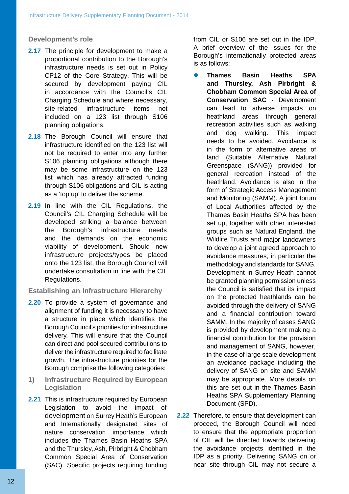#### **Development's role**

- **2.17** The principle for development to make a proportional contribution to the Borough's infrastructure needs is set out in Policy CP12 of the Core Strategy. This will be secured by development paying CIL in accordance with the Council's CIL Charging Schedule and where necessary, site-related infrastructure items not included on a 123 list through S106 planning obligations.
- **2.18** The Borough Council will ensure that infrastructure identified on the 123 list will not be required to enter into any further S106 planning obligations although there may be some infrastructure on the 123 list which has already attracted funding through S106 obligations and CIL is acting as a 'top up' to deliver the scheme.
- **2.19** In line with the CIL Regulations, the Council's CIL Charging Schedule will be developed striking a balance between infrastructure needs and the demands on the viability of development. Should new infrastructure projects/types be placed onto the 123 list, the Borough Council will undertake consultation in line with the CIL Regulations. the Borough's

#### **Establishing an Infrastructure Hierarchy**

- **2.20** To provide a system of governance and alignment of funding it is necessary to have a structure in place which identifies the Borough Council's priorities for infrastructure delivery. This will ensure that the Council can direct and pool secured contributions to deliver the infrastructure required to facilitate growth. The infrastructure priorities for the Borough comprise the following categories:
- **1) Infrastructure Required by European Legislation**
- **2.21** This is infrastructure required by European Legislation to avoid the impact of development on Surrey Heath's European and Internationally designated sites of nature conservation importance which includes the Thames Basin Heaths SPA and the Thursley, Ash, Pirbright & Chobham Common Special Area of Conservation (SAC). Specific projects requiring funding

from CIL or S106 are set out in the IDP. A brief overview of the issues for the Borough's internationally protected areas is as follows:

- **Thames Basin Heaths SPA and Thursley, Ash Pirbright & Chobham Common Special Area of Conservation SAC -** Development can lead to adverse impacts on heathland areas through general recreation activities such as walking and dog walking. This impact needs to be avoided. Avoidance is in the form of alternative areas of land (Suitable Alternative Natural Greenspace (SANG)) provided for general recreation instead of the heathland. Avoidance is also in the form of Strategic Access Management and Monitoring (SAMM). A joint forum of Local Authorities affected by the Thames Basin Heaths SPA has been set up, together with other interested groups such as Natural England, the economic **Mildlife Trusts and major landowners** to develop a joint agreed approach to avoidance measures, in particular the methodology and standards for SANG. Development in Surrey Heath cannot be granted planning permission unless the Council is satisfied that its impact on the protected heathlands can be avoided through the delivery of SANG and a financial contribution toward SAMM. In the majority of cases SANG is provided by development making a financial contribution for the provision and management of SANG, however, in the case of large scale development an avoidance package including the delivery of SANG on site and SAMM may be appropriate. More details on this are set out in the Thames Basin Heaths SPA Supplementary Planning Document (SPD).
	- **2.22** Therefore, to ensure that development can proceed, the Borough Council will need to ensure that the appropriate proportion of CIL will be directed towards delivering the avoidance projects identified in the IDP as a priority. Delivering SANG on or near site through CIL may not secure a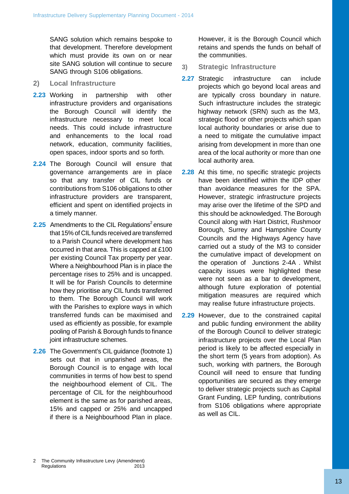SANG solution which remains bespoke to that development. Therefore development which must provide its own on or near site SANG solution will continue to secure SANG through S106 obligations.

- **Local Infrastructure 2.27 2)**
- network, education, community facilities, open spaces, indoor sports and so forth. **2.23** infrastructure necessary to meet local needs. This could include infrastructure
- **2.24** The Borough Council will ensure that governance arrangements are in place **2.28** so that any transfer of CIL funds or efficient and spent on identified projects in a timely manner.
- **2.25** Amendments to the CIL Regulations<sup>2</sup> ensure that 15% of CIL funds received are transferred to a Parish Council where development has occurred in that area. This is capped at £100 per existing Council Tax property per year. Where a Neighbourhood Plan is in place the percentage rises to 25% and is uncapped. It will be for Parish Councils to determine how they prioritise any CIL funds transferred to them. The Borough Council will work with the Parishes to explore ways in which transferred funds can be maximised and used as efficiently as possible, for example pooling of Parish & Borough funds to finance joint infrastructure schemes.
- **2.26** The Government's CIL guidance (footnote 1) sets out that in unparished areas, the Borough Council is to engage with local communities in terms of how best to spend the neighbourhood element of CIL. The percentage of CIL for the neighbourhood element is the same as for parished areas, 15% and capped or 25% and uncapped if there is a Neighbourhood Plan in place.

However, it is the Borough Council which retains and spends the funds on behalf of the communities.

- **Strategic Infrastructure 3)**
- in partnership with other are typically cross boundary in nature. infrastructure providers and organisations Such infrastructure includes the strategic the Borough Council will identify the highway network (SRN) such as the M3, strategic flood or other projects which span local authority boundaries or arise due to and enhancements to the local road a need to mitigate the cumulative impact 2.27 Strategic infrastructure can include projects which go beyond local areas and arising from development in more than one area of the local authority or more than one local authority area.
- contributions from S106 obligations to other than avoidance measures for the SPA. infrastructure providers are transparent, However, strategic infrastructure projects may arise over the lifetime of the SPD and this should be acknowledged. The Borough Council along with Hart District, Rushmoor Borough, Surrey and Hampshire County Councils and the Highways Agency have carried out a study of the M3 to consider the cumulative impact of development on the operation of Junctions 2-4A . Whilst capacity issues were highlighted these were not seen as a bar to development, although future exploration of potential mitigation measures are required which may realise future infrastructure projects. 2.28 At this time, no specific strategic projects have been identified within the IDP other
	- **2.29** However, due to the constrained capital and public funding environment the ability of the Borough Council to deliver strategic infrastructure projects over the Local Plan period is likely to be affected especially in the short term (5 years from adoption). As such, working with partners, the Borough Council will need to ensure that funding opportunities are secured as they emerge to deliver strategic projects such as Capital Grant Funding, LEP funding, contributions from S106 obligations where appropriate as well as CIL.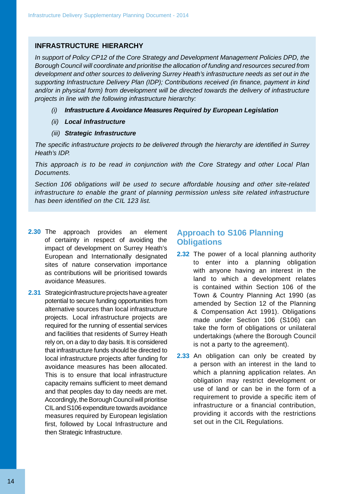#### **INFRASTRUCTURE HIERARCHY**

*In support of Policy CP12 of the Core Strategy and Development Management Policies DPD, the Borough Council will coordinate and prioritise the allocation of funding and resources secured from development and other sources to delivering Surrey Heath's infrastructure needs as set out in the supporting Infrastructure Delivery Plan (IDP); Contributions received (in finance, payment in kind and/or in physical form) from development will be directed towards the delivery of infrastructure projects in line with the following infrastructure hierarchy:*

- *(i) Infrastructure & Avoidance Measures Required by European Legislation*
- *(ii) Local Infrastructure*
- *(iii) Strategic Infrastructure*

*The specific infrastructure projects to be delivered through the hierarchy are identified in Surrey Heath's IDP.*

*This approach is to be read in conjunction with the Core Strategy and other Local Plan Documents.*

*Section 106 obligations will be used to secure affordable housing and other site-related infrastructure to enable the grant of planning permission unless site related infrastructure has been identified on the CIL 123 list.*

- **2.30** The approach provides an element of certainty in respect of avoiding the impact of development on Surrey Heath's European and Internationally designated sites of nature conservation importance as contributions will be prioritised towards avoidance Measures.
- **2.31** Strategicinfrastructure projects have a greater potential to secure funding opportunities from alternative sources than local infrastructure projects. Local infrastructure projects are required for the running of essential services and facilities that residents of Surrey Heath rely on, on a day to day basis. It is considered that infrastructure funds should be directed to local infrastructure projects after funding for avoidance measures has been allocated. This is to ensure that local infrastructure capacity remains sufficient to meet demand and that peoples day to day needs are met. Accordingly, the Borough Council will prioritise CILandS106 expenditure towards avoidance measures required by European legislation first, followed by Local Infrastructure and then Strategic Infrastructure.

## **Approach to S106 Planning Obligations**

- **2.32** The power of a local planning authority to enter into a planning obligation with anyone having an interest in the land to which a development relates is contained within Section 106 of the Town & Country Planning Act 1990 (as amended by Section 12 of the Planning & Compensation Act 1991). Obligations made under Section 106 (S106) can take the form of obligations or unilateral undertakings (where the Borough Council is not a party to the agreement).
- infrastructure or a financial contribution, **2.33** An obligation can only be created by a person with an interest in the land to which a planning application relates. An obligation may restrict development or use of land or can be in the form of a requirement to provide a specific item of providing it accords with the restrictions set out in the CIL Regulations.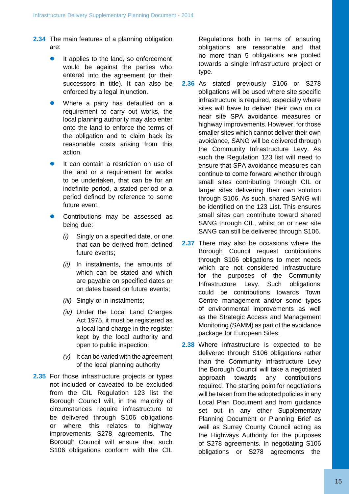- **2.34** The main features of a planning obligation are:
	- It applies to the land, so enforcement would be against the parties who entered into the agreement (or their successors in title). It can also be enforced by a legal injunction.
	- Where a party has defaulted on a requirement to carry out works, the local planning authority may also enter onto the land to enforce the terms of the obligation and to claim back its reasonable costs arising from this action.
	- It can contain a restriction on use of the land or a requirement for works to be undertaken, that can be for an indefinite period, a stated period or a period defined by reference to some future event.
	- Contributions may be assessed as being due:
		- *(i)* Singly on a specified date, or one that can be derived from defined future events;
		- *(ii)* In instalments, the amounts of which can be stated and which are payable on specified dates or on dates based on future events;
		- *(iii)* Singly or in instalments;
		- *(iv)* Under the Local Land Charges Act 1975, it must be registered as a local land charge in the register kept by the local authority and open to public inspection;
		- *(v)* It can be varied with the agreement of the local planning authority
- **2.35** For those infrastructure projects or types not included or caveated to be excluded from the CIL Regulation 123 list the Borough Council will, in the majority of circumstances require infrastructure to be delivered through S106 obligations or where this relates to highway improvements S278 agreements. The Borough Council will ensure that such S106 obligations conform with the CIL

Regulations both in terms of ensuring obligations are reasonable and that no more than 5 obligations are pooled towards a single infrastructure project or type.

- **2.36** As stated previously S106 or S278 obligations will be used where site specific infrastructure is required, especially where sites will have to deliver their own on or near site SPA avoidance measures or highway improvements. However, for those smaller sites which cannot deliver their own avoidance, SANG will be delivered through the Community Infrastructure Levy. As such the Regulation 123 list will need to ensure that SPA avoidance measures can continue to come forward whether through small sites contributing through CIL or larger sites delivering their own solution through S106. As such, shared SANG will be identified on the 123 List. This ensures small sites can contribute toward shared SANG through CIL, whilst on or near site SANG can still be delivered through S106.
- as the Strategic Access and Management Monitoring (SAMM) as part of the avoidance package for European Sites. **2.37** There may also be occasions where the Borough Council request contributions through S106 obligations to meet needs which are not considered infrastructure for the purposes of the Community Infrastructure Levy. Such obligations could be contributions towards Town Centre management and/or some types of environmental improvements as well
- **2.38** Where infrastructure is expected to be delivered through S106 obligations rather than the Community Infrastructure Levy the Borough Council will take a negotiated approach towards any contributions required. The starting point for negotiations will be taken from the adopted policies in any Local Plan Document and from guidance set out in any other Supplementary Planning Document or Planning Brief as well as Surrey County Council acting as the Highways Authority for the purposes of S278 agreements. In negotiating S106 obligations or S278 agreements the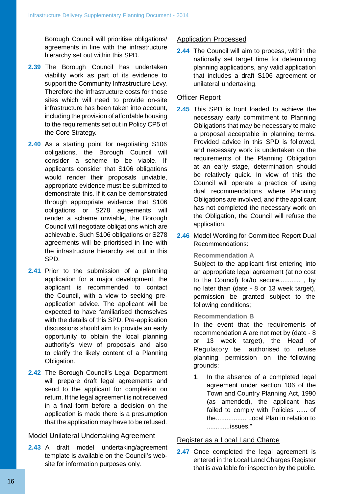Borough Council will prioritise obligations/ agreements in line with the infrastructure hierarchy set out within this SPD.

- **2.39** The Borough Council has undertaken viability work as part of its evidence to support the Community Infrastructure Levy. Therefore the infrastructure costs for those sites which will need to provide on-site infrastructure has been taken into account, including the provision of affordable housing to the requirements set out in Policy CP5 of the Core Strategy.
- **2.40** As a starting point for negotiating S106 obligations, the Borough Council will consider a scheme to be viable. If applicants consider that S106 obligations would render their proposals unviable, appropriate evidence must be submitted to demonstrate this. If it can be demonstrated through appropriate evidence that S106 obligations or S278 agreements will render a scheme unviable, the Borough Council will negotiate obligations which are achievable. Such S106 obligations or S278 agreements will be prioritised in line with the infrastructure hierarchy set out in this SPD.
- **2.41** Prior to the submission of a planning application for a major development, the applicant is recommended to contact the Council, with a view to seeking preapplication advice. The applicant will be expected to have familiarised themselves with the details of this SPD. Pre-application discussions should aim to provide an early opportunity to obtain the local planning authority's view of proposals and also to clarify the likely content of a Planning Obligation.
- **2.42** The Borough Council's Legal Department will prepare draft legal agreements and send to the applicant for completion on return. If the legal agreement is not received in a final form before a decision on the application is made there is a presumption that the application may have to be refused.

#### Model Unilateral Undertaking Agreement

**2.43** A draft model undertaking/agreement template is available on the Council's website for information purposes only.

#### Application Processed

**2.44** The Council will aim to process, within the nationally set target time for determining planning applications, any valid application that includes a draft S106 agreement or unilateral undertaking.

#### Officer Report

- **2.45** This SPD is front loaded to achieve the necessary early commitment to Planning Obligations that may be necessary to make a proposal acceptable in planning terms. Provided advice in this SPD is followed, and necessary work is undertaken on the requirements of the Planning Obligation at an early stage, determination should be relatively quick. In view of this the Council will operate a practice of using dual recommendations where Planning Obligations are involved, and if the applicant has not completed the necessary work on the Obligation, the Council will refuse the application.
- **2.46** Model Wording for Committee Report Dual Recommendations:

#### **Recommendation A**

Subject to the applicant first entering into an appropriate legal agreement (at no cost to the Council) for/to secure............ , by no later than (date - 8 or 13 week target), permission be granted subject to the following conditions;

#### **Recommendation B**

In the event that the requirements of recommendation A are not met by (date - 8 or 13 week target), the Head of Regulatory be authorised to refuse planning permission on the following grounds:

1. In the absence of a completed legal agreement under section 106 of the Town and Country Planning Act, 1990 (as amended), the applicant has failed to comply with Policies ...... of the................. Local Plan in relation to .............issues."

#### Register as a Local Land Charge

2.47 Once completed the legal agreement is entered in the Local Land Charges Register that is available for inspection by the public.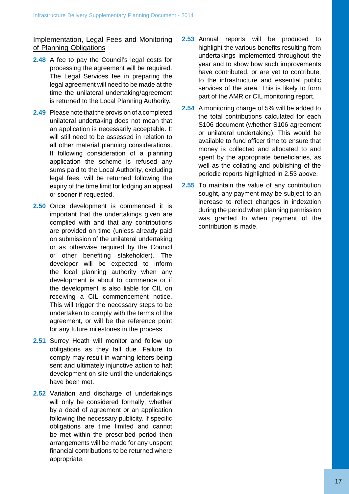Implementation, Legal Fees and Monitoring of Planning Obligations

- **2.48** A fee to pay the Council's legal costs for processing the agreement will be required. The Legal Services fee in preparing the legal agreement will need to be made at the time the unilateral undertaking/agreement is returned to the Local Planning Authority.
- **2.49** Please note that the provision of a completed unilateral undertaking does not mean that an application is necessarily acceptable. It will still need to be assessed in relation to all other material planning considerations. If following consideration of a planning application the scheme is refused any sums paid to the Local Authority, excluding legal fees, will be returned following the expiry of the time limit for lodging an appeal or sooner if requested.
- **2.50** Once development is commenced it is important that the undertakings given are complied with and that any contributions are provided on time (unless already paid on submission of the unilateral undertaking or as otherwise required by the Council or other benefiting stakeholder). The developer will be expected to inform the local planning authority when any development is about to commence or if the development is also liable for CIL on receiving a CIL commencement notice. This will trigger the necessary steps to be undertaken to comply with the terms of the agreement, or will be the reference point for any future milestones in the process.
- **2.51** Surrey Heath will monitor and follow up obligations as they fall due. Failure to comply may result in warning letters being sent and ultimately injunctive action to halt development on site until the undertakings have been met.
- **2.52** Variation and discharge of undertakings will only be considered formally, whether by a deed of agreement or an application following the necessary publicity. If specific obligations are time limited and cannot be met within the prescribed period then arrangements will be made for any unspent financial contributions to be returned where appropriate.
- **2.53** Annual reports will be produced to highlight the various benefits resulting from undertakings implemented throughout the year and to show how such improvements have contributed, or are yet to contribute, to the infrastructure and essential public services of the area. This is likely to form part of the AMR or CIL monitoring report.
- **2.54** A monitoring charge of 5% will be added to the total contributions calculated for each S106 document (whether S106 agreement or unilateral undertaking). This would be available to fund officer time to ensure that money is collected and allocated to and spent by the appropriate beneficiaries, as well as the collating and publishing of the periodic reports highlighted in 2.53 above.
- **2.55** To maintain the value of any contribution sought, any payment may be subject to an increase to reflect changes in indexation during the period when planning permission was granted to when payment of the contribution is made.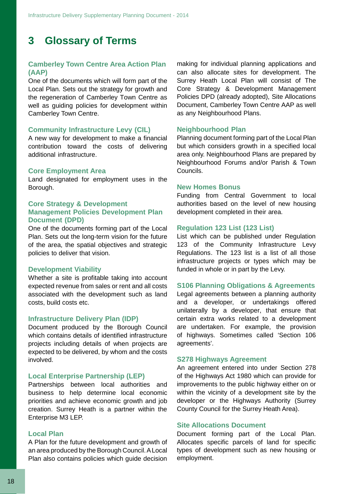## **3 Glossary of Terms**

#### **Camberley Town Centre Area Action Plan (AAP)**

One of the documents which will form part of the Local Plan. Sets out the strategy for growth and the regeneration of Camberley Town Centre as well as guiding policies for development within Camberley Town Centre.

#### **Community Infrastructure Levy (CIL)**

A new way for development to make a financial contribution toward the costs of delivering additional infrastructure.

#### **Core Employment Area**

Land designated for employment uses in the Borough.

#### **Core Strategy & Development Management Policies Development Plan Document (DPD)**

One of the documents forming part of the Local Plan. Sets out the long-term vision for the future of the area, the spatial objectives and strategic policies to deliver that vision.

#### **Development Viability**

Whether a site is profitable taking into account expected revenue from sales or rent and all costs associated with the development such as land costs, build costs etc.

#### **Infrastructure Delivery Plan (IDP)**

Document produced by the Borough Council which contains details of identified infrastructure projects including details of when projects are expected to be delivered, by whom and the costs involved.

#### **Local Enterprise Partnership (LEP)**

Partnerships between local authorities and business to help determine local economic priorities and achieve economic growth and job creation. Surrey Heath is a partner within theEnterprise M3 LEP.

#### **Local Plan**

A Plan for the future development and growth of an area produced by the Borough Council.ALocal Plan also contains policies which guide decision

making for individual planning applications and can also allocate sites for development. The Surrey Heath Local Plan will consist of The Core Strategy & Development Management Policies DPD (already adopted), Site Allocations Document, Camberley Town Centre AAP as well as any Neighbourhood Plans.

#### **Neighbourhood Plan**

Planning document forming part of the Local Plan but which considers growth in a specified local area only. Neighbourhood Plans are prepared by Neighbourhood Forums and/or Parish & Town Councils.

#### **New Homes Bonus**

Funding from Central Government to local authorities based on the level of new housing development completed in their area.

#### **Regulation 123 List (123 List)**

List which can be published under Regulation 123 of the Community Infrastructure Levy Regulations. The 123 list is a list of all those infrastructure projects or types which may be funded in whole or in part by the Levy.

#### **S106 Planning Obligations & Agreements**

Legal agreements between a planning authority and a developer, or undertakings offered unilaterally by a developer, that ensure that certain extra works related to a development are undertaken. For example, the provision of highways. Sometimes called 'Section 106 agreements'.

#### **S278 Highways Agreement**

An agreement entered into under Section 278 of the Highways Act 1980 which can provide for improvements to the public highway either on or within the vicinity of a development site by the developer or the Highways Authority (Surrey County Council for the Surrey Heath Area).

#### **Site Allocations Document**

Document forming part of the Local Plan. Allocates specific parcels of land for specific types of development such as new housing or employment.